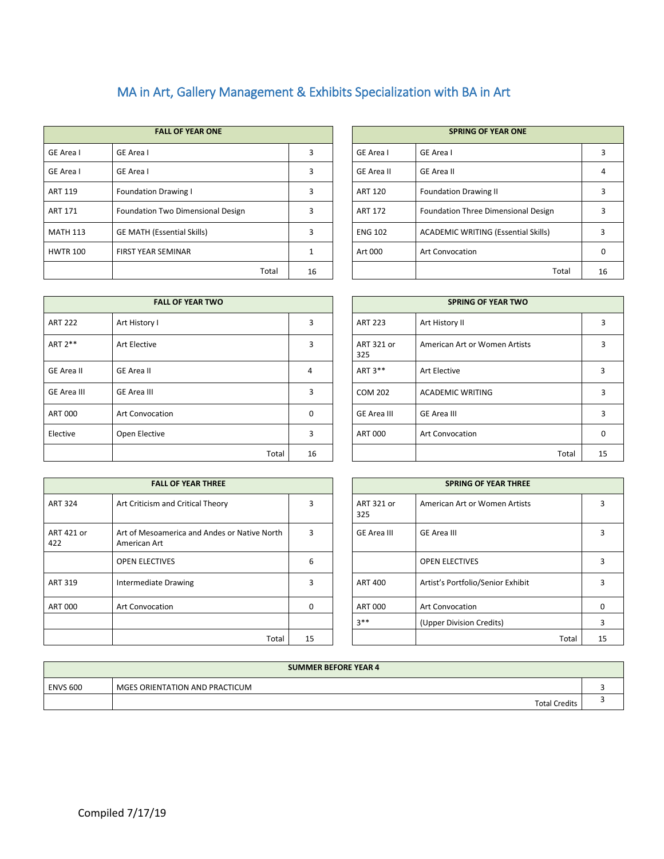## MA in Art, Gallery Management & Exhibits Specialization with BA in Art

| <b>FALL OF YEAR ONE</b> |                                          |    |  |                   | <b>SPRING OF YEAR ONE</b>                  |    |
|-------------------------|------------------------------------------|----|--|-------------------|--------------------------------------------|----|
| GE Area I               | GE Area I                                | 3  |  | <b>GE Area I</b>  | GE Area I                                  |    |
| GE Area I               | GE Area I                                | 3  |  | <b>GE Area II</b> | <b>GE Area II</b>                          |    |
| <b>ART 119</b>          | <b>Foundation Drawing I</b>              | 3  |  | <b>ART 120</b>    | <b>Foundation Drawing II</b>               |    |
| <b>ART 171</b>          | <b>Foundation Two Dimensional Design</b> | 3  |  | <b>ART 172</b>    | Foundation Three Dimensional Design        |    |
| <b>MATH 113</b>         | <b>GE MATH (Essential Skills)</b>        | 3  |  | <b>ENG 102</b>    | <b>ACADEMIC WRITING (Essential Skills)</b> | 3  |
| <b>HWTR 100</b>         | <b>FIRST YEAR SEMINAR</b>                |    |  | Art 000           | <b>Art Convocation</b>                     | 0  |
|                         | Total                                    | 16 |  |                   | Total                                      | 16 |

|       |    |                   | <b>SPRING OF YEAR ONE</b>                  |    |
|-------|----|-------------------|--------------------------------------------|----|
|       | 3  | GE Area I         | GE Area I                                  | 3  |
|       | 3  | <b>GE Area II</b> | <b>GE Area II</b>                          |    |
|       | 3  | <b>ART 120</b>    | <b>Foundation Drawing II</b>               |    |
|       | 3  | <b>ART 172</b>    | Foundation Three Dimensional Design        | ς  |
|       | 3  | <b>ENG 102</b>    | <b>ACADEMIC WRITING (Essential Skills)</b> | 3  |
|       |    | Art 000           | <b>Art Convocation</b>                     | n  |
| Total | 16 |                   | Total                                      | 16 |

| <b>FALL OF YEAR TWO</b> |                        |             | <b>SPRING OF YEAR TWO</b> |                               |  |  |
|-------------------------|------------------------|-------------|---------------------------|-------------------------------|--|--|
| <b>ART 222</b>          | Art History I          | 3           | <b>ART 223</b>            | Art History II                |  |  |
| ART 2**                 | Art Elective           | 3           | ART 321 or<br>325         | American Art or Women Artists |  |  |
| <b>GE Area II</b>       | GE Area II             | 4           | ART 3**                   | <b>Art Elective</b>           |  |  |
| <b>GE Area III</b>      | <b>GE Area III</b>     | 3           | <b>COM 202</b>            | <b>ACADEMIC WRITING</b>       |  |  |
| ART 000                 | <b>Art Convocation</b> | $\mathbf 0$ | GE Area III               | GE Area III                   |  |  |
| Elective                | Open Elective          | 3           | ART 000                   | <b>Art Convocation</b>        |  |  |
|                         | Total                  | 16          |                           | Total                         |  |  |

| <b>FALL OF YEAR TWO</b> |          |  | <b>SPRING OF YEAR TWO</b> |                               |       |          |  |
|-------------------------|----------|--|---------------------------|-------------------------------|-------|----------|--|
| Π.                      | 3        |  | <b>ART 223</b>            | Art History II                |       | 3        |  |
| 5                       | 3        |  | ART 321 or<br>325         | American Art or Women Artists |       | ς        |  |
|                         | 4        |  | ART 3**                   | Art Elective                  |       | 3        |  |
|                         | 3        |  | <b>COM 202</b>            | <b>ACADEMIC WRITING</b>       |       | 3        |  |
| cation                  | $\Omega$ |  | <b>GE Area III</b>        | <b>GE Area III</b>            |       | 3        |  |
| ive:                    | 3        |  | <b>ART 000</b>            | Art Convocation               |       | $\Omega$ |  |
| Total                   | 16       |  |                           |                               | Total | 15       |  |

| <b>FALL OF YEAR THREE</b> |                                                              |          | <b>SPRING OF YEAR THREE</b> |                                   |  |  |
|---------------------------|--------------------------------------------------------------|----------|-----------------------------|-----------------------------------|--|--|
| <b>ART 324</b>            | Art Criticism and Critical Theory                            | 3        | ART 321 or<br>325           | American Art or Women Artists     |  |  |
| ART 421 or<br>422         | Art of Mesoamerica and Andes or Native North<br>American Art | 3        | <b>GE Area III</b>          | GE Area III                       |  |  |
|                           | <b>OPEN ELECTIVES</b>                                        | 6        |                             | <b>OPEN ELECTIVES</b>             |  |  |
| ART 319                   | Intermediate Drawing                                         | 3        | <b>ART 400</b>              | Artist's Portfolio/Senior Exhibit |  |  |
| <b>ART 000</b>            | <b>Art Convocation</b>                                       | $\Omega$ | <b>ART 000</b>              | <b>Art Convocation</b>            |  |  |
|                           |                                                              |          | $3**$                       | (Upper Division Credits)          |  |  |
|                           | Total                                                        | 15       |                             | Total                             |  |  |

| <b>FALL OF YEAR THREE</b>                                    |    |                   | <b>SPRING OF YEAR THREE</b>       |       |    |
|--------------------------------------------------------------|----|-------------------|-----------------------------------|-------|----|
| Art Criticism and Critical Theory                            | 3  | ART 321 or<br>325 | American Art or Women Artists     |       |    |
| Art of Mesoamerica and Andes or Native North<br>American Art | 3  | GE Area III       | GE Area III                       |       | ς  |
| <b>OPEN ELECTIVES</b>                                        | 6  |                   | <b>OPEN ELECTIVES</b>             |       | 3  |
| Intermediate Drawing                                         | 3  | ART 400           | Artist's Portfolio/Senior Exhibit |       | ς  |
| Art Convocation                                              | 0  | <b>ART 000</b>    | <b>Art Convocation</b>            |       | 0  |
|                                                              |    | $3**$             | (Upper Division Credits)          |       | 3  |
| Total                                                        | 15 |                   |                                   | Total | 15 |

| <b>SUMMER BEFORE YEAR 4</b> |                                |  |  |  |  |  |
|-----------------------------|--------------------------------|--|--|--|--|--|
| <b>ENVS 600</b>             | MGES ORIENTATION AND PRACTICUM |  |  |  |  |  |
|                             | <b>Total Credits</b>           |  |  |  |  |  |